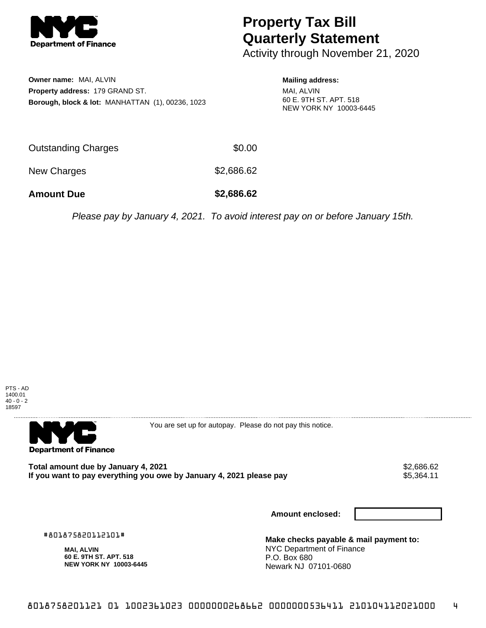

## **Property Tax Bill Quarterly Statement**

Activity through November 21, 2020

**Owner name:** MAI, ALVIN **Property address:** 179 GRAND ST. **Borough, block & lot:** MANHATTAN (1), 00236, 1023

## **Mailing address:**

MAI, ALVIN 60 E. 9TH ST. APT. 518 NEW YORK NY 10003-6445

| Outstanding Charges | \$0.00     |
|---------------------|------------|
| New Charges         | \$2,686.62 |

**Amount Due \$2,686.62**

Please pay by January 4, 2021. To avoid interest pay on or before January 15th.





You are set up for autopay. Please do not pay this notice.

**Total amount due by January 4, 2021**<br>If you want to pay everything you owe by January 4, 2021 please pay **show that the summer wave we** \$5,364.11 If you want to pay everything you owe by January 4, 2021 please pay

**Amount enclosed:**

#801875820112101#

**MAI, ALVIN 60 E. 9TH ST. APT. 518 NEW YORK NY 10003-6445**

**Make checks payable & mail payment to:** NYC Department of Finance P.O. Box 680 Newark NJ 07101-0680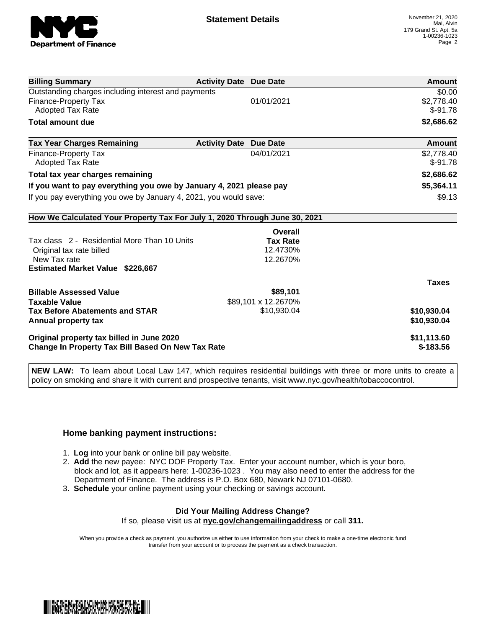

| <b>Billing Summary</b>                                                     | <b>Activity Date Due Date</b>           | Amount       |
|----------------------------------------------------------------------------|-----------------------------------------|--------------|
| Outstanding charges including interest and payments                        |                                         | \$0.00       |
| Finance-Property Tax                                                       | 01/01/2021                              | \$2,778.40   |
| Adopted Tax Rate                                                           |                                         | $$-91.78$    |
| <b>Total amount due</b>                                                    |                                         | \$2,686.62   |
| <b>Tax Year Charges Remaining</b>                                          | <b>Activity Date</b><br><b>Due Date</b> | Amount       |
| <b>Finance-Property Tax</b>                                                | 04/01/2021                              | \$2,778.40   |
| <b>Adopted Tax Rate</b>                                                    |                                         | $$-91.78$    |
| Total tax year charges remaining                                           |                                         | \$2,686.62   |
| If you want to pay everything you owe by January 4, 2021 please pay        |                                         | \$5,364.11   |
| If you pay everything you owe by January 4, 2021, you would save:          |                                         | \$9.13       |
| How We Calculated Your Property Tax For July 1, 2020 Through June 30, 2021 |                                         |              |
|                                                                            | Overall                                 |              |
| Tax class 2 - Residential More Than 10 Units                               | <b>Tax Rate</b>                         |              |
| Original tax rate billed                                                   | 12.4730%                                |              |
| New Tax rate                                                               | 12.2670%                                |              |
| <b>Estimated Market Value \$226,667</b>                                    |                                         |              |
|                                                                            |                                         | <b>Taxes</b> |
| <b>Billable Assessed Value</b>                                             | \$89,101                                |              |
| <b>Taxable Value</b>                                                       | \$89,101 x 12.2670%                     |              |
| <b>Tax Before Abatements and STAR</b>                                      | \$10,930.04                             | \$10,930.04  |
| Annual property tax                                                        |                                         | \$10,930.04  |
| Original property tax billed in June 2020                                  |                                         | \$11,113.60  |
| Change In Property Tax Bill Based On New Tax Rate                          |                                         | $$-183.56$   |

**NEW LAW:** To learn about Local Law 147, which requires residential buildings with three or more units to create a policy on smoking and share it with current and prospective tenants, visit www.nyc.gov/health/tobaccocontrol.

## **Home banking payment instructions:**

- 1. **Log** into your bank or online bill pay website.
- 2. **Add** the new payee: NYC DOF Property Tax. Enter your account number, which is your boro, block and lot, as it appears here: 1-00236-1023 . You may also need to enter the address for the Department of Finance. The address is P.O. Box 680, Newark NJ 07101-0680.
- 3. **Schedule** your online payment using your checking or savings account.

## **Did Your Mailing Address Change?** If so, please visit us at **nyc.gov/changemailingaddress** or call **311.**

When you provide a check as payment, you authorize us either to use information from your check to make a one-time electronic fund transfer from your account or to process the payment as a check transaction.